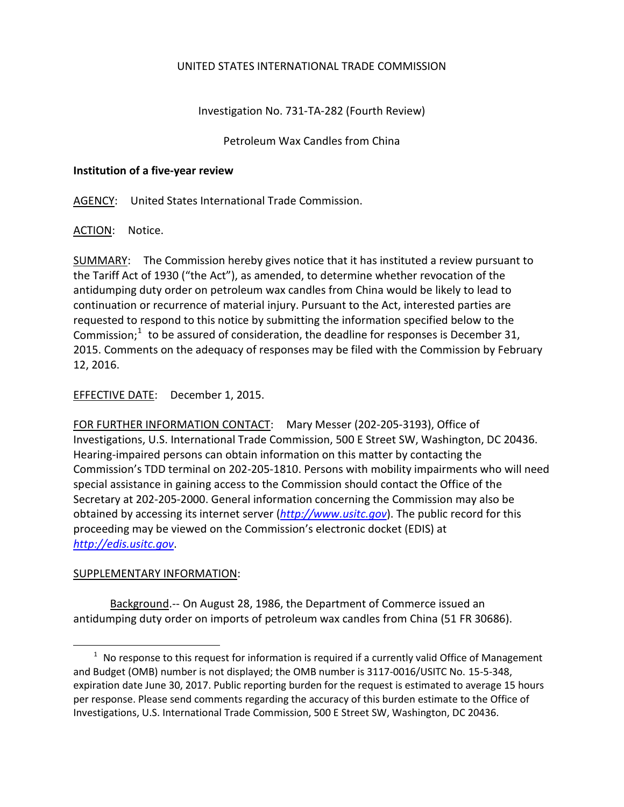## UNITED STATES INTERNATIONAL TRADE COMMISSION

Investigation No. 731-TA-282 (Fourth Review)

Petroleum Wax Candles from China

## **Institution of a five-year review**

AGENCY: United States International Trade Commission.

ACTION: Notice.

SUMMARY: The Commission hereby gives notice that it has instituted a review pursuant to the Tariff Act of 1930 ("the Act"), as amended, to determine whether revocation of the antidumping duty order on petroleum wax candles from China would be likely to lead to continuation or recurrence of material injury. Pursuant to the Act, interested parties are requested to respond to this notice by submitting the information specified below to the Commission; $1$  to be assured of consideration, the deadline for responses is December 31, 2015. Comments on the adequacy of responses may be filed with the Commission by February 12, 2016.

EFFECTIVE DATE: December 1, 2015.

FOR FURTHER INFORMATION CONTACT: Mary Messer (202-205-3193), Office of Investigations, U.S. International Trade Commission, 500 E Street SW, Washington, DC 20436. Hearing-impaired persons can obtain information on this matter by contacting the Commission's TDD terminal on 202-205-1810. Persons with mobility impairments who will need special assistance in gaining access to the Commission should contact the Office of the Secretary at 202-205-2000. General information concerning the Commission may also be obtained by accessing its internet server (*[http://www.usitc.gov](http://www.usitc.gov/)*). The public record for this proceeding may be viewed on the Commission's electronic docket (EDIS) at *[http://edis.usitc.gov](http://edis.usitc.gov/)*.

## SUPPLEMENTARY INFORMATION:

 $\overline{a}$ 

Background.-- On August 28, 1986, the Department of Commerce issued an antidumping duty order on imports of petroleum wax candles from China (51 FR 30686).

<span id="page-0-0"></span> $1$  No response to this request for information is required if a currently valid Office of Management and Budget (OMB) number is not displayed; the OMB number is 3117-0016/USITC No. 15-5-348, expiration date June 30, 2017. Public reporting burden for the request is estimated to average 15 hours per response. Please send comments regarding the accuracy of this burden estimate to the Office of Investigations, U.S. International Trade Commission, 500 E Street SW, Washington, DC 20436.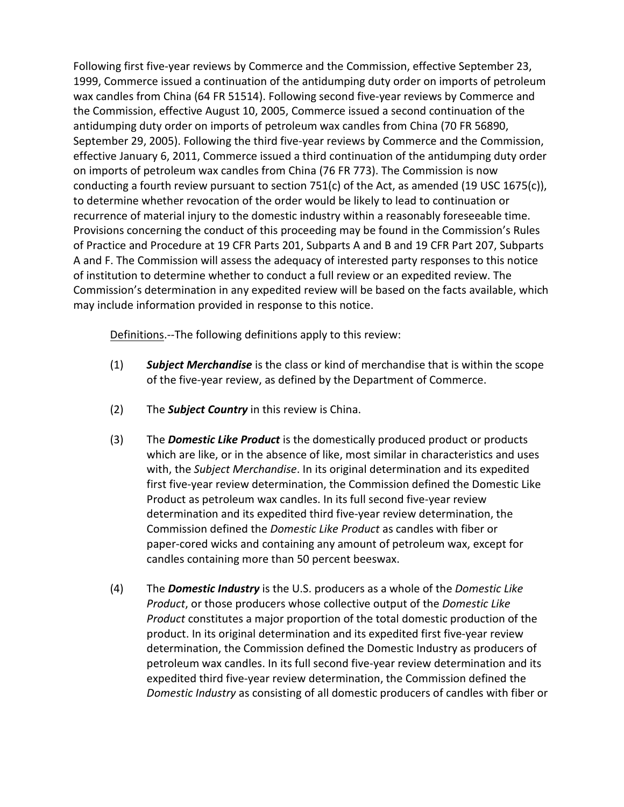Following first five-year reviews by Commerce and the Commission, effective September 23, 1999, Commerce issued a continuation of the antidumping duty order on imports of petroleum wax candles from China (64 FR 51514). Following second five-year reviews by Commerce and the Commission, effective August 10, 2005, Commerce issued a second continuation of the antidumping duty order on imports of petroleum wax candles from China (70 FR 56890, September 29, 2005). Following the third five-year reviews by Commerce and the Commission, effective January 6, 2011, Commerce issued a third continuation of the antidumping duty order on imports of petroleum wax candles from China (76 FR 773). The Commission is now conducting a fourth review pursuant to section 751(c) of the Act, as amended (19 USC 1675(c)), to determine whether revocation of the order would be likely to lead to continuation or recurrence of material injury to the domestic industry within a reasonably foreseeable time. Provisions concerning the conduct of this proceeding may be found in the Commission's Rules of Practice and Procedure at 19 CFR Parts 201, Subparts A and B and 19 CFR Part 207, Subparts A and F. The Commission will assess the adequacy of interested party responses to this notice of institution to determine whether to conduct a full review or an expedited review. The Commission's determination in any expedited review will be based on the facts available, which may include information provided in response to this notice.

Definitions.--The following definitions apply to this review:

- (1) *Subject Merchandise* is the class or kind of merchandise that is within the scope of the five-year review, as defined by the Department of Commerce.
- (2) The *Subject Country* in this review is China.
- (3) The *Domestic Like Product* is the domestically produced product or products which are like, or in the absence of like, most similar in characteristics and uses with, the *Subject Merchandise*. In its original determination and its expedited first five-year review determination, the Commission defined the Domestic Like Product as petroleum wax candles. In its full second five-year review determination and its expedited third five-year review determination, the Commission defined the *Domestic Like Product* as candles with fiber or paper-cored wicks and containing any amount of petroleum wax, except for candles containing more than 50 percent beeswax.
- (4) The *Domestic Industry* is the U.S. producers as a whole of the *Domestic Like Product*, or those producers whose collective output of the *Domestic Like Product* constitutes a major proportion of the total domestic production of the product. In its original determination and its expedited first five-year review determination, the Commission defined the Domestic Industry as producers of petroleum wax candles. In its full second five-year review determination and its expedited third five-year review determination, the Commission defined the *Domestic Industry* as consisting of all domestic producers of candles with fiber or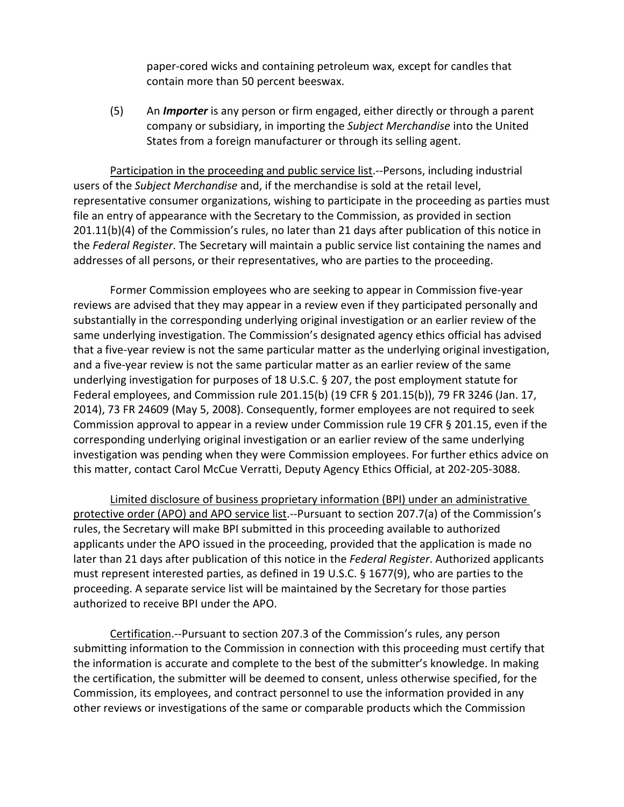paper-cored wicks and containing petroleum wax, except for candles that contain more than 50 percent beeswax.

(5) An *Importer* is any person or firm engaged, either directly or through a parent company or subsidiary, in importing the *Subject Merchandise* into the United States from a foreign manufacturer or through its selling agent.

Participation in the proceeding and public service list.--Persons, including industrial users of the *Subject Merchandise* and, if the merchandise is sold at the retail level, representative consumer organizations, wishing to participate in the proceeding as parties must file an entry of appearance with the Secretary to the Commission, as provided in section 201.11(b)(4) of the Commission's rules, no later than 21 days after publication of this notice in the *Federal Register*. The Secretary will maintain a public service list containing the names and addresses of all persons, or their representatives, who are parties to the proceeding.

Former Commission employees who are seeking to appear in Commission five-year reviews are advised that they may appear in a review even if they participated personally and substantially in the corresponding underlying original investigation or an earlier review of the same underlying investigation. The Commission's designated agency ethics official has advised that a five-year review is not the same particular matter as the underlying original investigation, and a five-year review is not the same particular matter as an earlier review of the same underlying investigation for purposes of 18 U.S.C. § 207, the post employment statute for Federal employees, and Commission rule 201.15(b) (19 CFR § 201.15(b)), 79 FR 3246 (Jan. 17, 2014), 73 FR 24609 (May 5, 2008). Consequently, former employees are not required to seek Commission approval to appear in a review under Commission rule 19 CFR § 201.15, even if the corresponding underlying original investigation or an earlier review of the same underlying investigation was pending when they were Commission employees. For further ethics advice on this matter, contact Carol McCue Verratti, Deputy Agency Ethics Official, at 202-205-3088.

Limited disclosure of business proprietary information (BPI) under an administrative protective order (APO) and APO service list.--Pursuant to section 207.7(a) of the Commission's rules, the Secretary will make BPI submitted in this proceeding available to authorized applicants under the APO issued in the proceeding, provided that the application is made no later than 21 days after publication of this notice in the *Federal Register*. Authorized applicants must represent interested parties, as defined in 19 U.S.C. § 1677(9), who are parties to the proceeding. A separate service list will be maintained by the Secretary for those parties authorized to receive BPI under the APO.

Certification.--Pursuant to section 207.3 of the Commission's rules, any person submitting information to the Commission in connection with this proceeding must certify that the information is accurate and complete to the best of the submitter's knowledge. In making the certification, the submitter will be deemed to consent, unless otherwise specified, for the Commission, its employees, and contract personnel to use the information provided in any other reviews or investigations of the same or comparable products which the Commission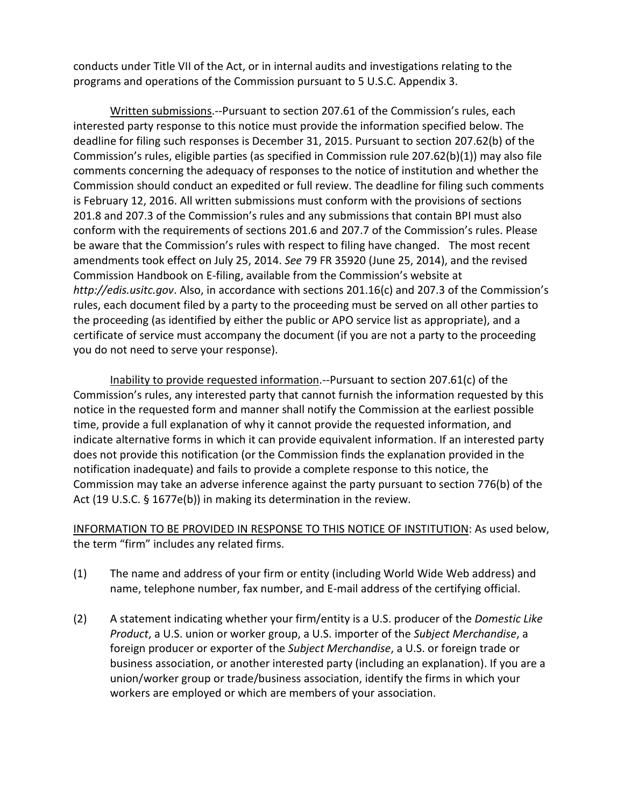conducts under Title VII of the Act, or in internal audits and investigations relating to the programs and operations of the Commission pursuant to 5 U.S.C. Appendix 3.

Written submissions.--Pursuant to section 207.61 of the Commission's rules, each interested party response to this notice must provide the information specified below. The deadline for filing such responses is December 31, 2015. Pursuant to section 207.62(b) of the Commission's rules, eligible parties (as specified in Commission rule 207.62(b)(1)) may also file comments concerning the adequacy of responses to the notice of institution and whether the Commission should conduct an expedited or full review. The deadline for filing such comments is February 12, 2016. All written submissions must conform with the provisions of sections 201.8 and 207.3 of the Commission's rules and any submissions that contain BPI must also conform with the requirements of sections 201.6 and 207.7 of the Commission's rules. Please be aware that the Commission's rules with respect to filing have changed. The most recent amendments took effect on July 25, 2014. *See* 79 FR 35920 (June 25, 2014), and the revised Commission Handbook on E-filing, available from the Commission's website at *http://edis.usitc.gov*. Also, in accordance with sections 201.16(c) and 207.3 of the Commission's rules, each document filed by a party to the proceeding must be served on all other parties to the proceeding (as identified by either the public or APO service list as appropriate), and a certificate of service must accompany the document (if you are not a party to the proceeding you do not need to serve your response).

Inability to provide requested information.--Pursuant to section 207.61(c) of the Commission's rules, any interested party that cannot furnish the information requested by this notice in the requested form and manner shall notify the Commission at the earliest possible time, provide a full explanation of why it cannot provide the requested information, and indicate alternative forms in which it can provide equivalent information. If an interested party does not provide this notification (or the Commission finds the explanation provided in the notification inadequate) and fails to provide a complete response to this notice, the Commission may take an adverse inference against the party pursuant to section 776(b) of the Act (19 U.S.C. § 1677e(b)) in making its determination in the review.

INFORMATION TO BE PROVIDED IN RESPONSE TO THIS NOTICE OF INSTITUTION: As used below, the term "firm" includes any related firms.

- (1) The name and address of your firm or entity (including World Wide Web address) and name, telephone number, fax number, and E-mail address of the certifying official.
- (2) A statement indicating whether your firm/entity is a U.S. producer of the *Domestic Like Product*, a U.S. union or worker group, a U.S. importer of the *Subject Merchandise*, a foreign producer or exporter of the *Subject Merchandise*, a U.S. or foreign trade or business association, or another interested party (including an explanation). If you are a union/worker group or trade/business association, identify the firms in which your workers are employed or which are members of your association.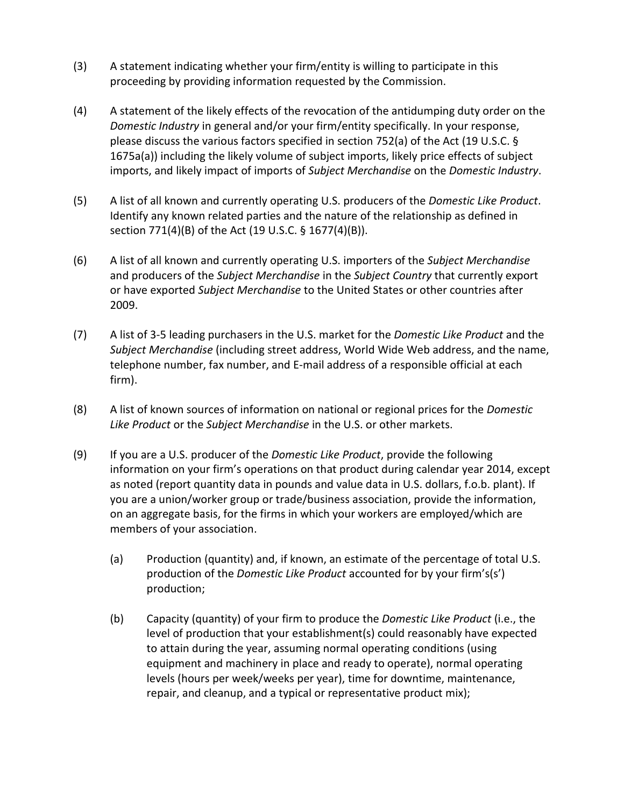- (3) A statement indicating whether your firm/entity is willing to participate in this proceeding by providing information requested by the Commission.
- (4) A statement of the likely effects of the revocation of the antidumping duty order on the *Domestic Industry* in general and/or your firm/entity specifically. In your response, please discuss the various factors specified in section 752(a) of the Act (19 U.S.C. § 1675a(a)) including the likely volume of subject imports, likely price effects of subject imports, and likely impact of imports of *Subject Merchandise* on the *Domestic Industry*.
- (5) A list of all known and currently operating U.S. producers of the *Domestic Like Product*. Identify any known related parties and the nature of the relationship as defined in section 771(4)(B) of the Act (19 U.S.C. § 1677(4)(B)).
- (6) A list of all known and currently operating U.S. importers of the *Subject Merchandise* and producers of the *Subject Merchandise* in the *Subject Country* that currently export or have exported *Subject Merchandise* to the United States or other countries after 2009.
- (7) A list of 3-5 leading purchasers in the U.S. market for the *Domestic Like Product* and the *Subject Merchandise* (including street address, World Wide Web address, and the name, telephone number, fax number, and E-mail address of a responsible official at each firm).
- (8) A list of known sources of information on national or regional prices for the *Domestic Like Product* or the *Subject Merchandise* in the U.S. or other markets.
- (9) If you are a U.S. producer of the *Domestic Like Product*, provide the following information on your firm's operations on that product during calendar year 2014, except as noted (report quantity data in pounds and value data in U.S. dollars, f.o.b. plant). If you are a union/worker group or trade/business association, provide the information, on an aggregate basis, for the firms in which your workers are employed/which are members of your association.
	- (a) Production (quantity) and, if known, an estimate of the percentage of total U.S. production of the *Domestic Like Product* accounted for by your firm's(s') production;
	- (b) Capacity (quantity) of your firm to produce the *Domestic Like Product* (i.e., the level of production that your establishment(s) could reasonably have expected to attain during the year, assuming normal operating conditions (using equipment and machinery in place and ready to operate), normal operating levels (hours per week/weeks per year), time for downtime, maintenance, repair, and cleanup, and a typical or representative product mix);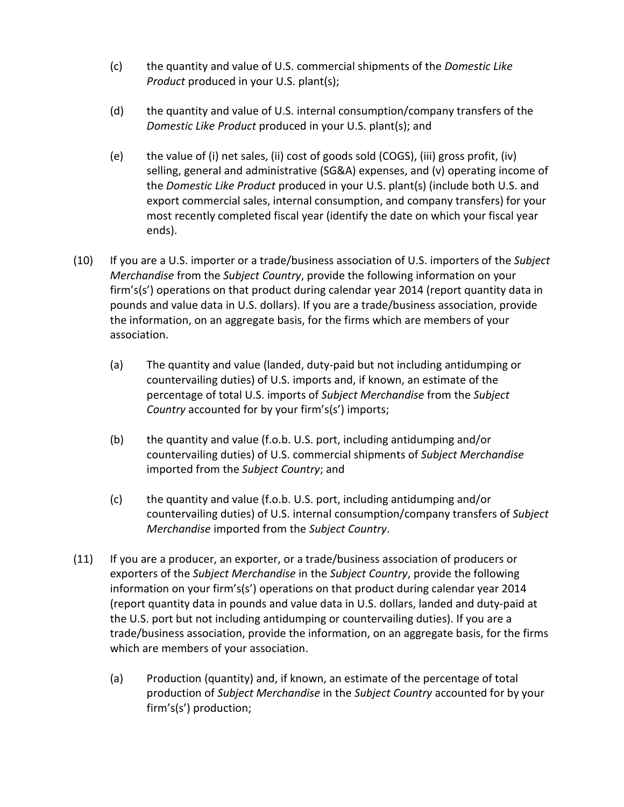- (c) the quantity and value of U.S. commercial shipments of the *Domestic Like Product* produced in your U.S. plant(s);
- (d) the quantity and value of U.S. internal consumption/company transfers of the *Domestic Like Product* produced in your U.S. plant(s); and
- (e) the value of (i) net sales, (ii) cost of goods sold (COGS), (iii) gross profit, (iv) selling, general and administrative (SG&A) expenses, and (v) operating income of the *Domestic Like Product* produced in your U.S. plant(s) (include both U.S. and export commercial sales, internal consumption, and company transfers) for your most recently completed fiscal year (identify the date on which your fiscal year ends).
- (10) If you are a U.S. importer or a trade/business association of U.S. importers of the *Subject Merchandise* from the *Subject Country*, provide the following information on your firm's(s') operations on that product during calendar year 2014 (report quantity data in pounds and value data in U.S. dollars). If you are a trade/business association, provide the information, on an aggregate basis, for the firms which are members of your association.
	- (a) The quantity and value (landed, duty-paid but not including antidumping or countervailing duties) of U.S. imports and, if known, an estimate of the percentage of total U.S. imports of *Subject Merchandise* from the *Subject Country* accounted for by your firm's(s') imports;
	- (b) the quantity and value (f.o.b. U.S. port, including antidumping and/or countervailing duties) of U.S. commercial shipments of *Subject Merchandise* imported from the *Subject Country*; and
	- (c) the quantity and value (f.o.b. U.S. port, including antidumping and/or countervailing duties) of U.S. internal consumption/company transfers of *Subject Merchandise* imported from the *Subject Country*.
- (11) If you are a producer, an exporter, or a trade/business association of producers or exporters of the *Subject Merchandise* in the *Subject Country*, provide the following information on your firm's(s') operations on that product during calendar year 2014 (report quantity data in pounds and value data in U.S. dollars, landed and duty-paid at the U.S. port but not including antidumping or countervailing duties). If you are a trade/business association, provide the information, on an aggregate basis, for the firms which are members of your association.
	- (a) Production (quantity) and, if known, an estimate of the percentage of total production of *Subject Merchandise* in the *Subject Country* accounted for by your firm's(s') production;